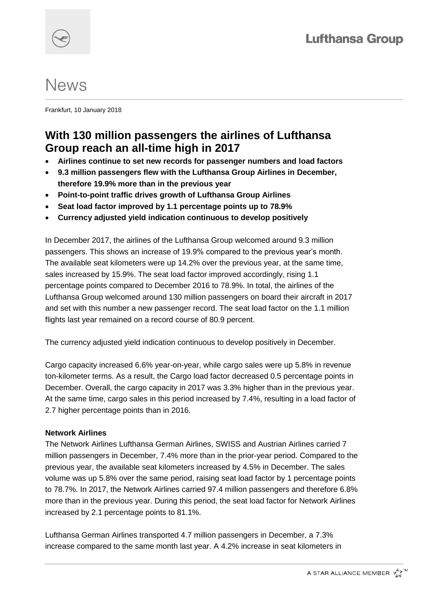# **News**

Frankfurt, 10 January 2018

## **With 130 million passengers the airlines of Lufthansa Group reach an all-time high in 2017**

- **Airlines continue to set new records for passenger numbers and load factors**
- **9.3 million passengers flew with the Lufthansa Group Airlines in December, therefore 19.9% more than in the previous year**
- **Point-to-point traffic drives growth of Lufthansa Group Airlines**
- **Seat load factor improved by 1.1 percentage points up to 78.9%**
- **Currency adjusted yield indication continuous to develop positively**

In December 2017, the airlines of the Lufthansa Group welcomed around 9.3 million passengers. This shows an increase of 19.9% compared to the previous year's month. The available seat kilometers were up 14.2% over the previous year, at the same time, sales increased by 15.9%. The seat load factor improved accordingly, rising 1.1 percentage points compared to December 2016 to 78.9%. In total, the airlines of the Lufthansa Group welcomed around 130 million passengers on board their aircraft in 2017 and set with this number a new passenger record. The seat load factor on the 1.1 million flights last year remained on a record course of 80.9 percent.

The currency adjusted yield indication continuous to develop positively in December.

Cargo capacity increased 6.6% year-on-year, while cargo sales were up 5.8% in revenue ton-kilometer terms. As a result, the Cargo load factor decreased 0.5 percentage points in December. Overall, the cargo capacity in 2017 was 3.3% higher than in the previous year. At the same time, cargo sales in this period increased by 7.4%, resulting in a load factor of 2.7 higher percentage points than in 2016.

### **Network Airlines**

The Network Airlines Lufthansa German Airlines, SWISS and Austrian Airlines carried 7 million passengers in December, 7.4% more than in the prior-year period. Compared to the previous year, the available seat kilometers increased by 4.5% in December. The sales volume was up 5.8% over the same period, raising seat load factor by 1 percentage points to 78.7%. In 2017, the Network Airlines carried 97.4 million passengers and therefore 6.8% more than in the previous year. During this period, the seat load factor for Network Airlines increased by 2.1 percentage points to 81.1%.

Lufthansa German Airlines transported 4.7 million passengers in December, a 7.3% increase compared to the same month last year. A 4.2% increase in seat kilometers in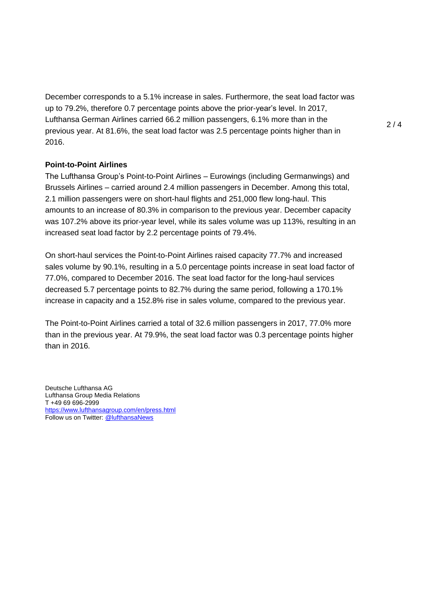December corresponds to a 5.1% increase in sales. Furthermore, the seat load factor was up to 79.2%, therefore 0.7 percentage points above the prior-year's level. In 2017, Lufthansa German Airlines carried 66.2 million passengers, 6.1% more than in the previous year. At 81.6%, the seat load factor was 2.5 percentage points higher than in 2016.

#### **Point-to-Point Airlines**

The Lufthansa Group's Point-to-Point Airlines – Eurowings (including Germanwings) and Brussels Airlines – carried around 2.4 million passengers in December. Among this total, 2.1 million passengers were on short-haul flights and 251,000 flew long-haul. This amounts to an increase of 80.3% in comparison to the previous year. December capacity was 107.2% above its prior-year level, while its sales volume was up 113%, resulting in an increased seat load factor by 2.2 percentage points of 79.4%.

On short-haul services the Point-to-Point Airlines raised capacity 77.7% and increased sales volume by 90.1%, resulting in a 5.0 percentage points increase in seat load factor of 77.0%, compared to December 2016. The seat load factor for the long-haul services decreased 5.7 percentage points to 82.7% during the same period, following a 170.1% increase in capacity and a 152.8% rise in sales volume, compared to the previous year.

The Point-to-Point Airlines carried a total of 32.6 million passengers in 2017, 77.0% more than in the previous year. At 79.9%, the seat load factor was 0.3 percentage points higher than in 2016.

Deutsche Lufthansa AG Lufthansa Group Media Relations T +49 69 696-2999 <https://www.lufthansagroup.com/en/press.html> Follow us on Twitter: [@lufthansaNews](https://twitter.com/lufthansaNews)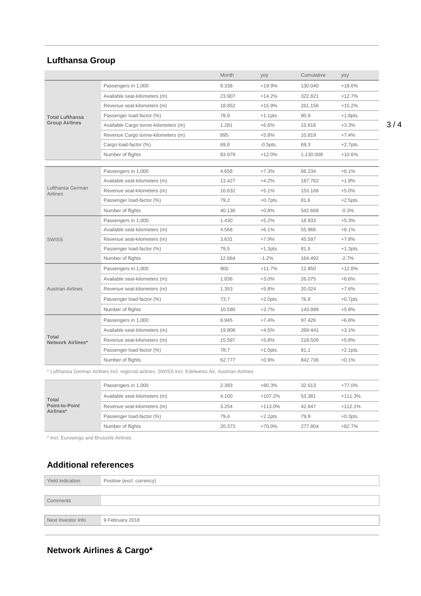## **Lufthansa Group**

|                                                                                                   |                                      | Month  | yoy         | Cumulative | yoy         |
|---------------------------------------------------------------------------------------------------|--------------------------------------|--------|-------------|------------|-------------|
| <b>Total Lufthansa</b><br><b>Group Airlines</b>                                                   | Passengers in 1,000                  | 9.338  | $+19.9%$    | 130.040    | $+18.6%$    |
|                                                                                                   | Available seat-kilometers (m)        | 23.907 | $+14.2%$    | 322.821    | $+12.7%$    |
|                                                                                                   | Revenue seat-kilometers (m)          | 18.852 | $+15.9%$    | 261.156    | $+15.2%$    |
|                                                                                                   | Passenger load-factor (%)            | 78.9   | $+1.1$ pts. | 80.9       | $+1.8$ pts. |
|                                                                                                   | Available Cargo tonne-kilometers (m) | 1.281  | $+6.6%$     | 15.618     | $+3.3%$     |
|                                                                                                   | Revenue Cargo tonne-kilometers (m)   | 895    | $+5.8%$     | 10.819     | $+7.4%$     |
|                                                                                                   | Cargo load-factor (%)                | 69,8   | $-0.5$ pts. | 69.3       | $+2.7$ pts. |
|                                                                                                   | Number of flights                    | 83.979 | $+12.0%$    | 1.130.008  | $+10.6%$    |
|                                                                                                   |                                      |        |             |            |             |
|                                                                                                   | Passengers in 1,000                  | 4.658  | $+7.3%$     | 66.234     | $+6.1%$     |
| Lufthansa German                                                                                  | Available seat-kilometers (m)        | 13.427 | $+4.2%$     | 187.762    | $+1.8%$     |
| <b>Airlines</b>                                                                                   | Revenue seat-kilometers (m)          | 10.632 | $+5.1%$     | 153.168    | $+5.0%$     |
|                                                                                                   | Passenger load-factor (%)            | 79,2   | $+0.7$ pts. | 81,6       | $+2.5$ pts. |
|                                                                                                   | Number of flights                    | 40.136 | $+0.8%$     | 542.668    | $-0.3%$     |
|                                                                                                   | Passengers in 1,000                  | 1.430  | $+5.2%$     | 18.933     | $+5.3%$     |
|                                                                                                   | Available seat-kilometers (m)        | 4.568  | $+6.1%$     | 55.966     | $+6.1%$     |
| <b>SWISS</b>                                                                                      | Revenue seat-kilometers (m)          | 3.631  | $+7.9%$     | 45.597     | $+7.8%$     |
|                                                                                                   | Passenger load-factor (%)            | 79,5   | $+1.3pts.$  | 81,5       | $+1.3$ pts. |
|                                                                                                   | Number of flights                    | 12.664 | $-1.2%$     | 164.492    | $-2.7%$     |
|                                                                                                   | Passengers in 1,000                  | 900    | $+11.7%$    | 12.850     | $+12.8%$    |
|                                                                                                   | Available seat-kilometers (m)        | 1.836  | $+3.0%$     | 26.075     | $+6.6%$     |
| <b>Austrian Airlines</b>                                                                          | Revenue seat-kilometers (m)          | 1.353  | $+5.8%$     | 20.024     | $+7.6%$     |
|                                                                                                   | Passenger load-factor (%)            | 73,7   | $+2.0$ pts. | 76,8       | $+0.7$ pts. |
|                                                                                                   | Number of flights                    | 10.580 | $+3.7%$     | 143.999    | $+5.8%$     |
| Total<br><b>Network Airlines*</b>                                                                 | Passengers in 1,000                  | 6.945  | $+7.4%$     | 97.426     | $+6.8%$     |
|                                                                                                   | Available seat-kilometers (m)        | 19.806 | $+4.5%$     | 269.441    | $+3.1%$     |
|                                                                                                   | Revenue seat-kilometers (m)          | 15.597 | $+5.8%$     | 218.509    | $+5.8%$     |
|                                                                                                   | Passenger load-factor (%)            | 78,7   | $+1.0$ pts. | 81,1       | $+2.1$ pts. |
|                                                                                                   | Number of flights                    | 62.777 | $+0.9%$     | 842.736    | $+0.1%$     |
| * Lufthansa German Airlines incl. regional airlines, SWISS incl. Edelweiss Air, Austrian Airlines |                                      |        |             |            |             |
|                                                                                                   |                                      |        |             |            |             |

| <b>Total</b><br>Point-to-Point<br>Airlines* | Passengers in 1,000           | 2.393  | $+80.3%$    | 32.613  | $+77.0%$    |
|---------------------------------------------|-------------------------------|--------|-------------|---------|-------------|
|                                             | Available seat-kilometers (m) | 4.100  | $+107.2%$   | 53.381  | $+111.3%$   |
|                                             | Revenue seat-kilometers (m)   | 3.254  | $+113.0\%$  | 42.647  | $+112.1%$   |
|                                             | Passenger load-factor (%)     | 79.4   | $+2.2$ pts. | 79.9    | $+0.3$ pts. |
|                                             | Number of flights             | 20.373 | $+70.0%$    | 277.804 | $+62.7%$    |

\* Incl. Eurowings and Brussels Airlines

## **Additional references**

| Yield indication   | Positive (excl. currency) |
|--------------------|---------------------------|
|                    |                           |
| Comments           |                           |
|                    |                           |
| Next Investor Info | 9 February 2018           |
|                    |                           |

## **Network Airlines & Cargo\***